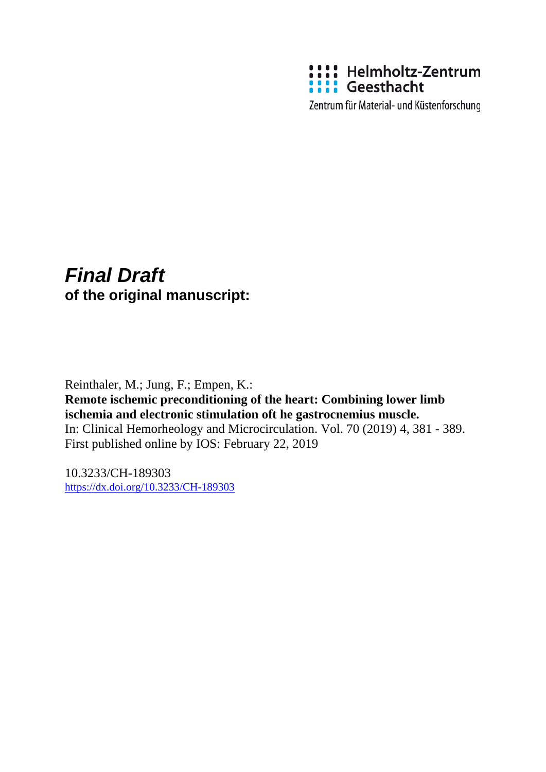

Zentrum für Material- und Küstenforschung

## *Final Draft*  **of the original manuscript:**

Reinthaler, M.; Jung, F.; Empen, K.: **Remote ischemic preconditioning of the heart: Combining lower limb ischemia and electronic stimulation oft he gastrocnemius muscle.**  In: Clinical Hemorheology and Microcirculation. Vol. 70 (2019) 4, 381 - 389. First published online by IOS: February 22, 2019

10.3233/CH-189303 <https://dx.doi.org/10.3233/CH-189303>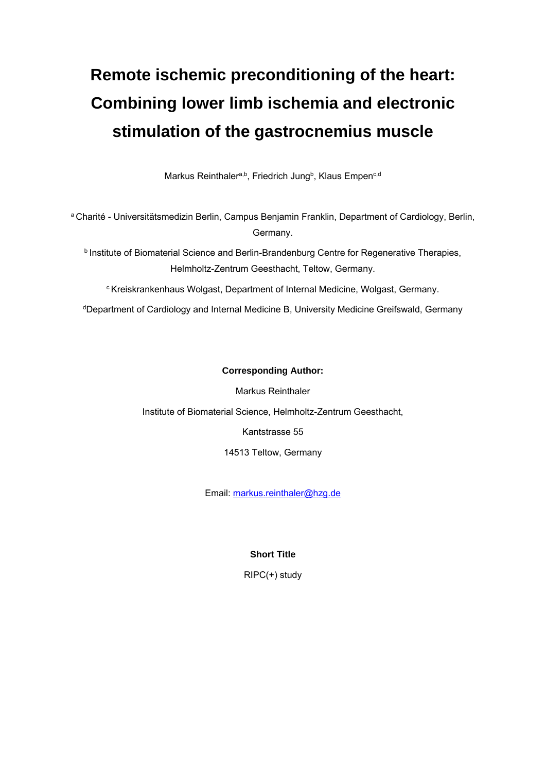# **Remote ischemic preconditioning of the heart: Combining lower limb ischemia and electronic stimulation of the gastrocnemius muscle**

Markus Reinthaler<sup>a,b</sup>, Friedrich Jung<sup>b</sup>, Klaus Empen<sup>c,d</sup>

a Charité - Universitätsmedizin Berlin, Campus Benjamin Franklin, Department of Cardiology, Berlin, Germany.

**b Institute of Biomaterial Science and Berlin-Brandenburg Centre for Regenerative Therapies,** Helmholtz-Zentrum Geesthacht, Teltow, Germany.

c Kreiskrankenhaus Wolgast, Department of Internal Medicine, Wolgast, Germany.

dDepartment of Cardiology and Internal Medicine B, University Medicine Greifswald, Germany

#### **Corresponding Author:**

Markus Reinthaler

Institute of Biomaterial Science, Helmholtz-Zentrum Geesthacht,

Kantstrasse 55

14513 Teltow, Germany

Email: markus.reinthaler@hzg.de

#### **Short Title**

RIPC(+) study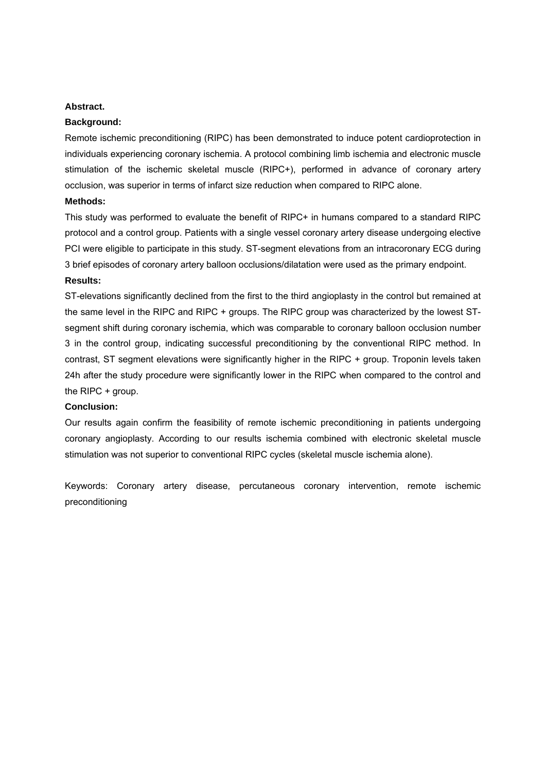#### **Abstract.**

#### **Background:**

Remote ischemic preconditioning (RIPC) has been demonstrated to induce potent cardioprotection in individuals experiencing coronary ischemia. A protocol combining limb ischemia and electronic muscle stimulation of the ischemic skeletal muscle (RIPC+), performed in advance of coronary artery occlusion, was superior in terms of infarct size reduction when compared to RIPC alone.

#### **Methods:**

This study was performed to evaluate the benefit of RIPC+ in humans compared to a standard RIPC protocol and a control group. Patients with a single vessel coronary artery disease undergoing elective PCI were eligible to participate in this study. ST-segment elevations from an intracoronary ECG during 3 brief episodes of coronary artery balloon occlusions/dilatation were used as the primary endpoint. **Results:** 

ST-elevations significantly declined from the first to the third angioplasty in the control but remained at the same level in the RIPC and RIPC + groups. The RIPC group was characterized by the lowest STsegment shift during coronary ischemia, which was comparable to coronary balloon occlusion number 3 in the control group, indicating successful preconditioning by the conventional RIPC method. In contrast, ST segment elevations were significantly higher in the RIPC + group. Troponin levels taken 24h after the study procedure were significantly lower in the RIPC when compared to the control and the RIPC + group.

#### **Conclusion:**

Our results again confirm the feasibility of remote ischemic preconditioning in patients undergoing coronary angioplasty. According to our results ischemia combined with electronic skeletal muscle stimulation was not superior to conventional RIPC cycles (skeletal muscle ischemia alone).

Keywords: Coronary artery disease, percutaneous coronary intervention, remote ischemic preconditioning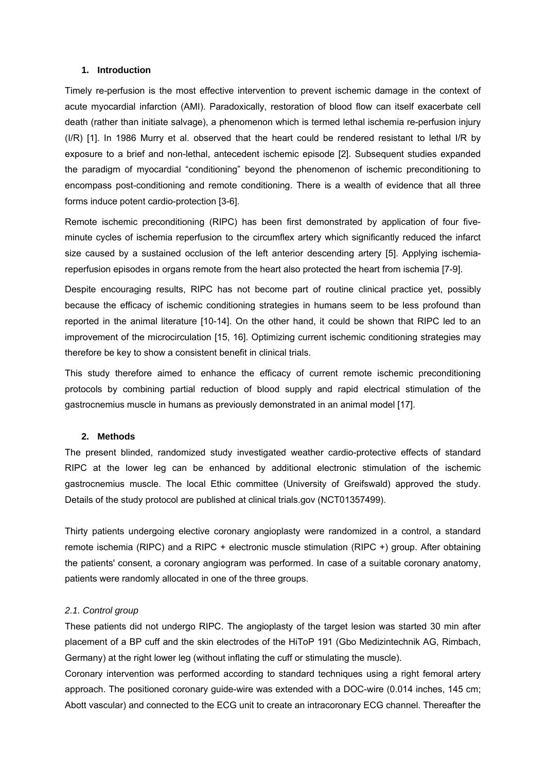#### **1. Introduction**

Timely re-perfusion is the most effective intervention to prevent ischemic damage in the context of acute myocardial infarction (AMI). Paradoxically, restoration of blood flow can itself exacerbate cell death (rather than initiate salvage), a phenomenon which is termed lethal ischemia re-perfusion injury (I/R) [1]. In 1986 Murry et al. observed that the heart could be rendered resistant to lethal I/R by exposure to a brief and non-lethal, antecedent ischemic episode [2]. Subsequent studies expanded the paradigm of myocardial "conditioning" beyond the phenomenon of ischemic preconditioning to encompass post-conditioning and remote conditioning. There is a wealth of evidence that all three forms induce potent cardio-protection [3-6].

Remote ischemic preconditioning (RIPC) has been first demonstrated by application of four fiveminute cycles of ischemia reperfusion to the circumflex artery which significantly reduced the infarct size caused by a sustained occlusion of the left anterior descending artery [5]. Applying ischemiareperfusion episodes in organs remote from the heart also protected the heart from ischemia [7-9].

Despite encouraging results, RIPC has not become part of routine clinical practice yet, possibly because the efficacy of ischemic conditioning strategies in humans seem to be less profound than reported in the animal literature [10-14]. On the other hand, it could be shown that RIPC led to an improvement of the microcirculation [15, 16]. Optimizing current ischemic conditioning strategies may therefore be key to show a consistent benefit in clinical trials.

This study therefore aimed to enhance the efficacy of current remote ischemic preconditioning protocols by combining partial reduction of blood supply and rapid electrical stimulation of the gastrocnemius muscle in humans as previously demonstrated in an animal model [17].

#### **2. Methods**

The present blinded, randomized study investigated weather cardio-protective effects of standard RIPC at the lower leg can be enhanced by additional electronic stimulation of the ischemic gastrocnemius muscle. The local Ethic committee (University of Greifswald) approved the study. Details of the study protocol are published at clinical trials.gov (NCT01357499).

Thirty patients undergoing elective coronary angioplasty were randomized in a control, a standard remote ischemia (RIPC) and a RIPC + electronic muscle stimulation (RIPC +) group. After obtaining the patients' consent, a coronary angiogram was performed. In case of a suitable coronary anatomy, patients were randomly allocated in one of the three groups.

#### *2.1. Control group*

These patients did not undergo RIPC. The angioplasty of the target lesion was started 30 min after placement of a BP cuff and the skin electrodes of the HiToP 191 (Gbo Medizintechnik AG, Rimbach, Germany) at the right lower leg (without inflating the cuff or stimulating the muscle).

Coronary intervention was performed according to standard techniques using a right femoral artery approach. The positioned coronary guide-wire was extended with a DOC-wire (0.014 inches, 145 cm; Abott vascular) and connected to the ECG unit to create an intracoronary ECG channel. Thereafter the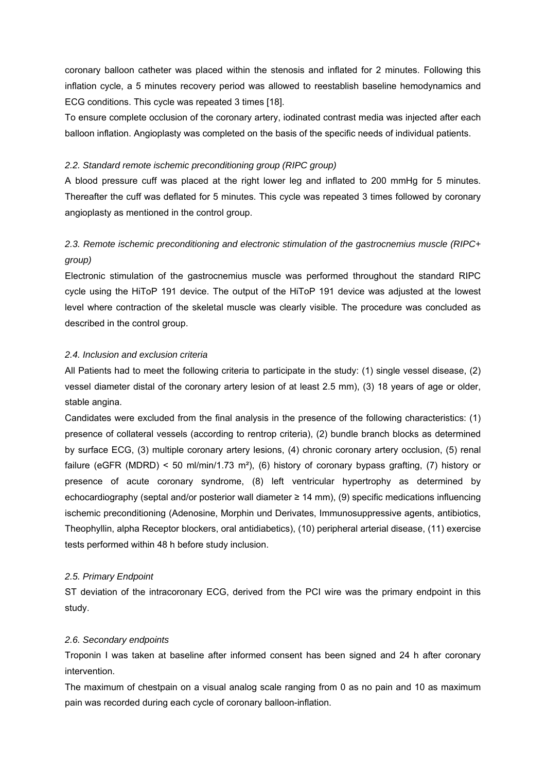coronary balloon catheter was placed within the stenosis and inflated for 2 minutes. Following this inflation cycle, a 5 minutes recovery period was allowed to reestablish baseline hemodynamics and ECG conditions. This cycle was repeated 3 times [18].

To ensure complete occlusion of the coronary artery, iodinated contrast media was injected after each balloon inflation. Angioplasty was completed on the basis of the specific needs of individual patients.

#### *2.2. Standard remote ischemic preconditioning group (RIPC group)*

A blood pressure cuff was placed at the right lower leg and inflated to 200 mmHg for 5 minutes. Thereafter the cuff was deflated for 5 minutes. This cycle was repeated 3 times followed by coronary angioplasty as mentioned in the control group.

### *2.3. Remote ischemic preconditioning and electronic stimulation of the gastrocnemius muscle (RIPC+ group)*

Electronic stimulation of the gastrocnemius muscle was performed throughout the standard RIPC cycle using the HiToP 191 device. The output of the HiToP 191 device was adjusted at the lowest level where contraction of the skeletal muscle was clearly visible. The procedure was concluded as described in the control group.

#### *2.4. Inclusion and exclusion criteria*

All Patients had to meet the following criteria to participate in the study: (1) single vessel disease, (2) vessel diameter distal of the coronary artery lesion of at least 2.5 mm), (3) 18 years of age or older, stable angina.

Candidates were excluded from the final analysis in the presence of the following characteristics: (1) presence of collateral vessels (according to rentrop criteria), (2) bundle branch blocks as determined by surface ECG, (3) multiple coronary artery lesions, (4) chronic coronary artery occlusion, (5) renal failure (eGFR (MDRD) < 50 ml/min/1.73 m²), (6) history of coronary bypass grafting, (7) history or presence of acute coronary syndrome, (8) left ventricular hypertrophy as determined by echocardiography (septal and/or posterior wall diameter ≥ 14 mm), (9) specific medications influencing ischemic preconditioning (Adenosine, Morphin und Derivates, Immunosuppressive agents, antibiotics, Theophyllin, alpha Receptor blockers, oral antidiabetics), (10) peripheral arterial disease, (11) exercise tests performed within 48 h before study inclusion.

#### *2.5. Primary Endpoint*

ST deviation of the intracoronary ECG, derived from the PCI wire was the primary endpoint in this study.

#### *2.6. Secondary endpoints*

Troponin I was taken at baseline after informed consent has been signed and 24 h after coronary intervention.

The maximum of chestpain on a visual analog scale ranging from 0 as no pain and 10 as maximum pain was recorded during each cycle of coronary balloon-inflation.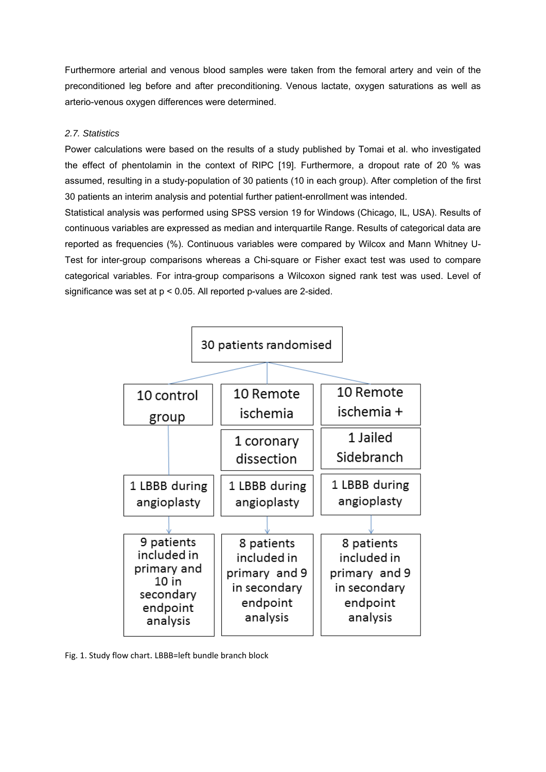Furthermore arterial and venous blood samples were taken from the femoral artery and vein of the preconditioned leg before and after preconditioning. Venous lactate, oxygen saturations as well as arterio-venous oxygen differences were determined.

#### *2.7. Statistics*

Power calculations were based on the results of a study published by Tomai et al. who investigated the effect of phentolamin in the context of RIPC [19]. Furthermore, a dropout rate of 20 % was assumed, resulting in a study-population of 30 patients (10 in each group). After completion of the first 30 patients an interim analysis and potential further patient-enrollment was intended.

Statistical analysis was performed using SPSS version 19 for Windows (Chicago, IL, USA). Results of continuous variables are expressed as median and interquartile Range. Results of categorical data are reported as frequencies (%). Continuous variables were compared by Wilcox and Mann Whitney U-Test for inter-group comparisons whereas a Chi-square or Fisher exact test was used to compare categorical variables. For intra-group comparisons a Wilcoxon signed rank test was used. Level of significance was set at p < 0.05. All reported p-values are 2-sided.



Fig. 1. Study flow chart. LBBB=left bundle branch block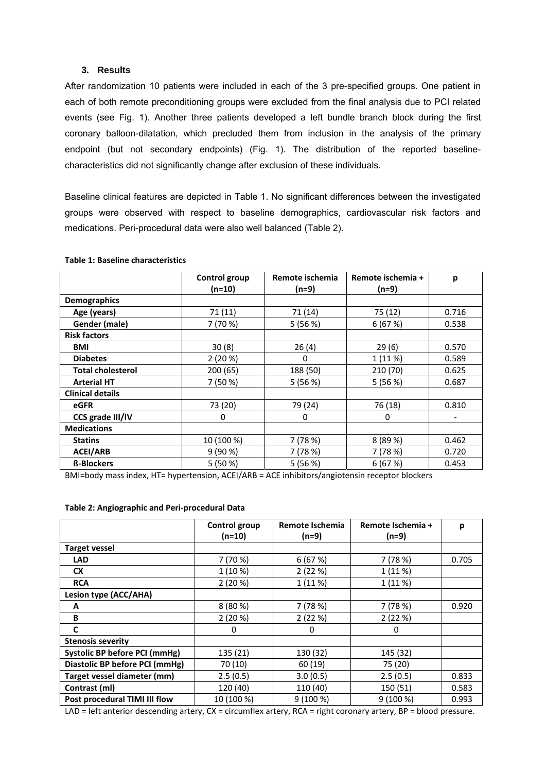#### **3. Results**

After randomization 10 patients were included in each of the 3 pre-specified groups. One patient in each of both remote preconditioning groups were excluded from the final analysis due to PCI related events (see Fig. 1). Another three patients developed a left bundle branch block during the first coronary balloon-dilatation, which precluded them from inclusion in the analysis of the primary endpoint (but not secondary endpoints) (Fig. 1). The distribution of the reported baselinecharacteristics did not significantly change after exclusion of these individuals.

Baseline clinical features are depicted in Table 1. No significant differences between the investigated groups were observed with respect to baseline demographics, cardiovascular risk factors and medications. Peri-procedural data were also well balanced (Table 2).

|                          | Control group<br>$(n=10)$ | Remote ischemia<br>$(n=9)$ | Remote ischemia +<br>$(n=9)$ | p     |
|--------------------------|---------------------------|----------------------------|------------------------------|-------|
| <b>Demographics</b>      |                           |                            |                              |       |
| Age (years)              | 71(11)                    | 71 (14)                    | 75 (12)                      | 0.716 |
| Gender (male)            | 7 (70 %)                  | 5(56%)                     | 6(67%)                       | 0.538 |
| <b>Risk factors</b>      |                           |                            |                              |       |
| <b>BMI</b>               | 30(8)                     | 26(4)                      | 29(6)                        | 0.570 |
| <b>Diabetes</b>          | 2(20%)                    | 0                          | 1 (11 %)                     | 0.589 |
| <b>Total cholesterol</b> | 200 (65)                  | 188 (50)                   | 210 (70)                     | 0.625 |
| <b>Arterial HT</b>       | 7 (50 %)                  | 5(56%)                     | 5(56%)                       | 0.687 |
| <b>Clinical details</b>  |                           |                            |                              |       |
| eGFR                     | 73 (20)                   | 79 (24)                    | 76 (18)                      | 0.810 |
| CCS grade III/IV         | 0                         | 0                          | 0                            |       |
| <b>Medications</b>       |                           |                            |                              |       |
| <b>Statins</b>           | 10 (100 %)                | 7(78%)                     | 8 (89 %)                     | 0.462 |
| <b>ACEI/ARB</b>          | 9(90%)                    | 7 (78 %)                   | 7(78%)                       | 0.720 |
| <b>ß-Blockers</b>        | 5(50%)                    | 5(56%)                     | 6(67%)                       | 0.453 |

#### **Table 1: Baseline characteristics**

BMI=body mass index, HT= hypertension, ACEI/ARB = ACE inhibitors/angiotensin receptor blockers

#### **Table 2: Angiographic and Peri‐procedural Data**

|                                      | <b>Control group</b> | Remote Ischemia | Remote Ischemia + | р     |
|--------------------------------------|----------------------|-----------------|-------------------|-------|
|                                      | (n=10)               | $(n=9)$         | $(n=9)$           |       |
| <b>Target vessel</b>                 |                      |                 |                   |       |
| <b>LAD</b>                           | 7 (70 %)             | 6(67%)          | 7(78%)            | 0.705 |
| <b>CX</b>                            | 1 (10 %)             | 2(22%)          | 1(11%)            |       |
| <b>RCA</b>                           | 2(20%)               | 1(11%)          | 1 (11 %)          |       |
| Lesion type (ACC/AHA)                |                      |                 |                   |       |
| A                                    | 8(80%)               | 7(78%)          | 7 (78 %)          | 0.920 |
| B                                    | 2(20%)               | 2(22%)          | 2(22%)            |       |
| C                                    | 0                    | 0               | 0                 |       |
| <b>Stenosis severity</b>             |                      |                 |                   |       |
| <b>Systolic BP before PCI (mmHg)</b> | 135 (21)             | 130 (32)        | 145 (32)          |       |
| Diastolic BP before PCI (mmHg)       | 70 (10)              | 60 (19)         | 75 (20)           |       |
| Target vessel diameter (mm)          | 2.5(0.5)             | 3.0(0.5)        | 2.5(0.5)          | 0.833 |
| Contrast (ml)                        | 120 (40)             | 110 (40)        | 150 (51)          | 0.583 |
| Post procedural TIMI III flow        | 10 (100 %)           | 9(100%)         | 9 (100 %)         | 0.993 |

LAD = left anterior descending artery, CX = circumflex artery, RCA = right coronary artery, BP = blood pressure.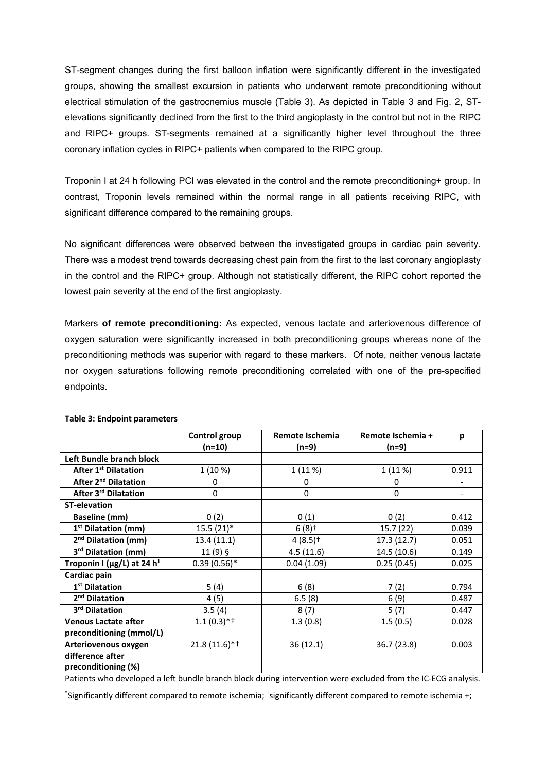ST-segment changes during the first balloon inflation were significantly different in the investigated groups, showing the smallest excursion in patients who underwent remote preconditioning without electrical stimulation of the gastrocnemius muscle (Table 3). As depicted in Table 3 and Fig. 2, STelevations significantly declined from the first to the third angioplasty in the control but not in the RIPC and RIPC+ groups. ST-segments remained at a significantly higher level throughout the three coronary inflation cycles in RIPC+ patients when compared to the RIPC group.

Troponin I at 24 h following PCI was elevated in the control and the remote preconditioning+ group. In contrast, Troponin levels remained within the normal range in all patients receiving RIPC, with significant difference compared to the remaining groups.

No significant differences were observed between the investigated groups in cardiac pain severity. There was a modest trend towards decreasing chest pain from the first to the last coronary angioplasty in the control and the RIPC+ group. Although not statistically different, the RIPC cohort reported the lowest pain severity at the end of the first angioplasty.

Markers **of remote preconditioning:** As expected, venous lactate and arteriovenous difference of oxygen saturation were significantly increased in both preconditioning groups whereas none of the preconditioning methods was superior with regard to these markers. Of note, neither venous lactate nor oxygen saturations following remote preconditioning correlated with one of the pre-specified endpoints.

|                                              | Control group  | Remote Ischemia       | Remote Ischemia + | p     |
|----------------------------------------------|----------------|-----------------------|-------------------|-------|
|                                              | $(n=10)$       | (n=9)                 | $(n=9)$           |       |
| Left Bundle branch block                     |                |                       |                   |       |
| <b>After 1st Dilatation</b>                  | 1(10%)         | 1(11%)                | 1(11%)            | 0.911 |
| After 2 <sup>nd</sup> Dilatation             | 0              | 0                     | 0                 |       |
| After 3rd Dilatation                         | $\Omega$       | $\Omega$              | $\Omega$          |       |
| <b>ST-elevation</b>                          |                |                       |                   |       |
| <b>Baseline (mm)</b>                         | 0(2)           | 0(1)                  | 0(2)              | 0.412 |
| 1 <sup>st</sup> Dilatation (mm)              | $15.5(21)$ *   | $6(8)$ <sup>+</sup>   | 15.7(22)          | 0.039 |
| 2 <sup>nd</sup> Dilatation (mm)              | 13.4 (11.1)    | $4(8.5)$ <sup>+</sup> | 17.3(12.7)        | 0.051 |
| 3 <sup>rd</sup> Dilatation (mm)              | 11 (9) §       | 4.5(11.6)             | 14.5 (10.6)       | 0.149 |
| Troponin I ( $\mu$ g/L) at 24 h <sup>‡</sup> | $0.39(0.56)$ * | 0.04(1.09)            | 0.25(0.45)        | 0.025 |
| Cardiac pain                                 |                |                       |                   |       |
| 1 <sup>st</sup> Dilatation                   | 5(4)           | 6(8)                  | 7(2)              | 0.794 |
| 2 <sup>nd</sup> Dilatation                   | 4(5)           | 6.5(8)                | 6(9)              | 0.487 |
| 3 <sup>rd</sup> Dilatation                   | 3.5(4)         | 8(7)                  | 5(7)              | 0.447 |
| <b>Venous Lactate after</b>                  | $1.1(0.3)$ *†  | 1.3(0.8)              | 1.5(0.5)          | 0.028 |
| preconditioning (mmol/L)                     |                |                       |                   |       |
| Arteriovenous oxygen                         | $21.8(11.6)*†$ | 36(12.1)              | 36.7 (23.8)       | 0.003 |
| difference after                             |                |                       |                   |       |
| preconditioning (%)                          |                |                       |                   |       |

#### **Table 3: Endpoint parameters**

Patients who developed a left bundle branch block during intervention were excluded from the IC‐ECG analysis.

\* Significantly different compared to remote ischemia; † significantly different compared to remote ischemia +;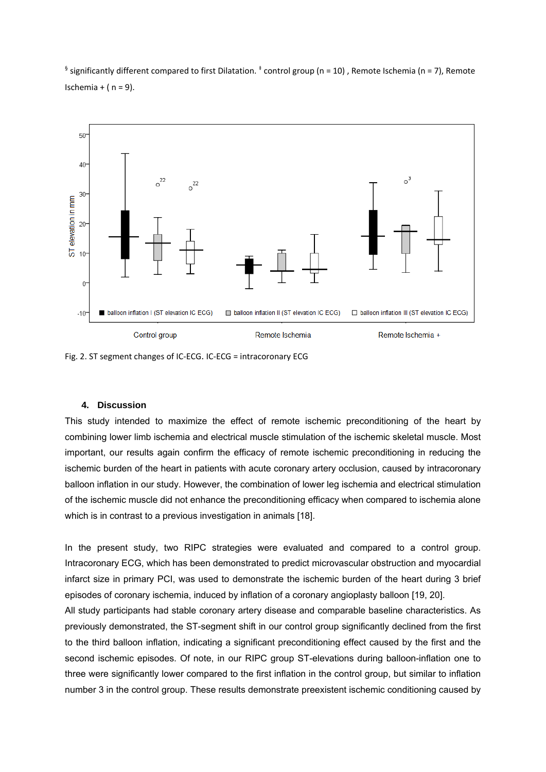§ significantly different compared to first Dilatation.  $\pm$  control group (n = 10), Remote Ischemia (n = 7), Remote Ischemia +  $(n = 9)$ .



Fig. 2. ST segment changes of IC‐ECG. IC‐ECG = intracoronary ECG

#### **4. Discussion**

This study intended to maximize the effect of remote ischemic preconditioning of the heart by combining lower limb ischemia and electrical muscle stimulation of the ischemic skeletal muscle. Most important, our results again confirm the efficacy of remote ischemic preconditioning in reducing the ischemic burden of the heart in patients with acute coronary artery occlusion, caused by intracoronary balloon inflation in our study. However, the combination of lower leg ischemia and electrical stimulation of the ischemic muscle did not enhance the preconditioning efficacy when compared to ischemia alone which is in contrast to a previous investigation in animals [18].

In the present study, two RIPC strategies were evaluated and compared to a control group. Intracoronary ECG, which has been demonstrated to predict microvascular obstruction and myocardial infarct size in primary PCI, was used to demonstrate the ischemic burden of the heart during 3 brief episodes of coronary ischemia, induced by inflation of a coronary angioplasty balloon [19, 20].

All study participants had stable coronary artery disease and comparable baseline characteristics. As previously demonstrated, the ST-segment shift in our control group significantly declined from the first to the third balloon inflation, indicating a significant preconditioning effect caused by the first and the second ischemic episodes. Of note, in our RIPC group ST-elevations during balloon-inflation one to three were significantly lower compared to the first inflation in the control group, but similar to inflation number 3 in the control group. These results demonstrate preexistent ischemic conditioning caused by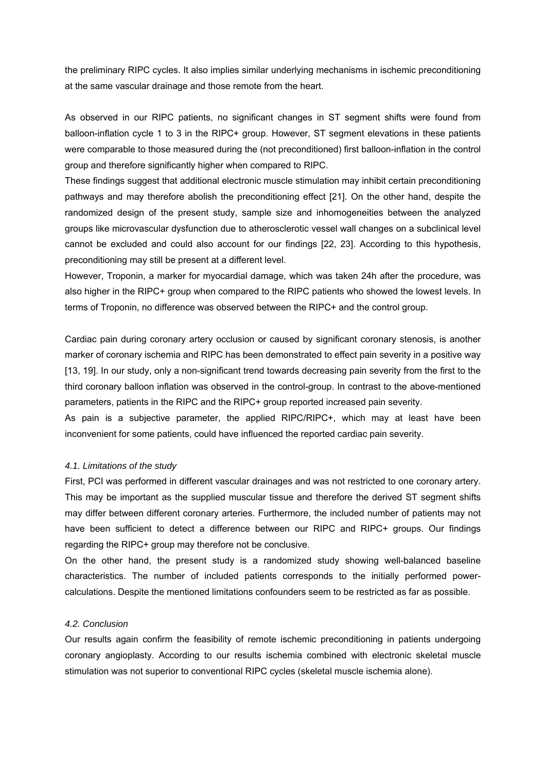the preliminary RIPC cycles. It also implies similar underlying mechanisms in ischemic preconditioning at the same vascular drainage and those remote from the heart.

As observed in our RIPC patients, no significant changes in ST segment shifts were found from balloon-inflation cycle 1 to 3 in the RIPC+ group. However, ST segment elevations in these patients were comparable to those measured during the (not preconditioned) first balloon-inflation in the control group and therefore significantly higher when compared to RIPC.

These findings suggest that additional electronic muscle stimulation may inhibit certain preconditioning pathways and may therefore abolish the preconditioning effect [21]. On the other hand, despite the randomized design of the present study, sample size and inhomogeneities between the analyzed groups like microvascular dysfunction due to atherosclerotic vessel wall changes on a subclinical level cannot be excluded and could also account for our findings [22, 23]. According to this hypothesis, preconditioning may still be present at a different level.

However, Troponin, a marker for myocardial damage, which was taken 24h after the procedure, was also higher in the RIPC+ group when compared to the RIPC patients who showed the lowest levels. In terms of Troponin, no difference was observed between the RIPC+ and the control group.

Cardiac pain during coronary artery occlusion or caused by significant coronary stenosis, is another marker of coronary ischemia and RIPC has been demonstrated to effect pain severity in a positive way [13, 19]. In our study, only a non-significant trend towards decreasing pain severity from the first to the third coronary balloon inflation was observed in the control-group. In contrast to the above-mentioned parameters, patients in the RIPC and the RIPC+ group reported increased pain severity.

As pain is a subjective parameter, the applied RIPC/RIPC+, which may at least have been inconvenient for some patients, could have influenced the reported cardiac pain severity.

#### *4.1. Limitations of the study*

First, PCI was performed in different vascular drainages and was not restricted to one coronary artery. This may be important as the supplied muscular tissue and therefore the derived ST segment shifts may differ between different coronary arteries. Furthermore, the included number of patients may not have been sufficient to detect a difference between our RIPC and RIPC+ groups. Our findings regarding the RIPC+ group may therefore not be conclusive.

On the other hand, the present study is a randomized study showing well-balanced baseline characteristics. The number of included patients corresponds to the initially performed powercalculations. Despite the mentioned limitations confounders seem to be restricted as far as possible.

#### *4.2. Conclusion*

Our results again confirm the feasibility of remote ischemic preconditioning in patients undergoing coronary angioplasty. According to our results ischemia combined with electronic skeletal muscle stimulation was not superior to conventional RIPC cycles (skeletal muscle ischemia alone).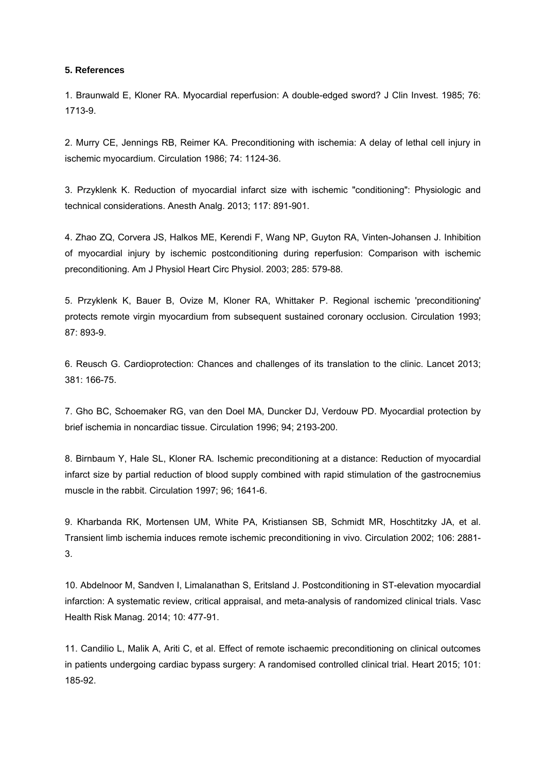#### **5. References**

1. Braunwald E, Kloner RA. Myocardial reperfusion: A double-edged sword? J Clin Invest. 1985; 76: 1713-9.

2. Murry CE, Jennings RB, Reimer KA. Preconditioning with ischemia: A delay of lethal cell injury in ischemic myocardium. Circulation 1986; 74: 1124-36.

3. Przyklenk K. Reduction of myocardial infarct size with ischemic "conditioning": Physiologic and technical considerations. Anesth Analg. 2013; 117: 891-901.

4. Zhao ZQ, Corvera JS, Halkos ME, Kerendi F, Wang NP, Guyton RA, Vinten-Johansen J. Inhibition of myocardial injury by ischemic postconditioning during reperfusion: Comparison with ischemic preconditioning. Am J Physiol Heart Circ Physiol. 2003; 285: 579-88.

5. Przyklenk K, Bauer B, Ovize M, Kloner RA, Whittaker P. Regional ischemic 'preconditioning' protects remote virgin myocardium from subsequent sustained coronary occlusion. Circulation 1993; 87: 893-9.

6. Reusch G. Cardioprotection: Chances and challenges of its translation to the clinic. Lancet 2013; 381: 166-75.

7. Gho BC, Schoemaker RG, van den Doel MA, Duncker DJ, Verdouw PD. Myocardial protection by brief ischemia in noncardiac tissue. Circulation 1996; 94; 2193-200.

8. Birnbaum Y, Hale SL, Kloner RA. Ischemic preconditioning at a distance: Reduction of myocardial infarct size by partial reduction of blood supply combined with rapid stimulation of the gastrocnemius muscle in the rabbit. Circulation 1997; 96; 1641-6.

9. Kharbanda RK, Mortensen UM, White PA, Kristiansen SB, Schmidt MR, Hoschtitzky JA, et al. Transient limb ischemia induces remote ischemic preconditioning in vivo. Circulation 2002; 106: 2881- 3.

10. Abdelnoor M, Sandven I, Limalanathan S, Eritsland J. Postconditioning in ST-elevation myocardial infarction: A systematic review, critical appraisal, and meta-analysis of randomized clinical trials. Vasc Health Risk Manag. 2014; 10: 477-91.

11. Candilio L, Malik A, Ariti C, et al. Effect of remote ischaemic preconditioning on clinical outcomes in patients undergoing cardiac bypass surgery: A randomised controlled clinical trial. Heart 2015; 101: 185-92.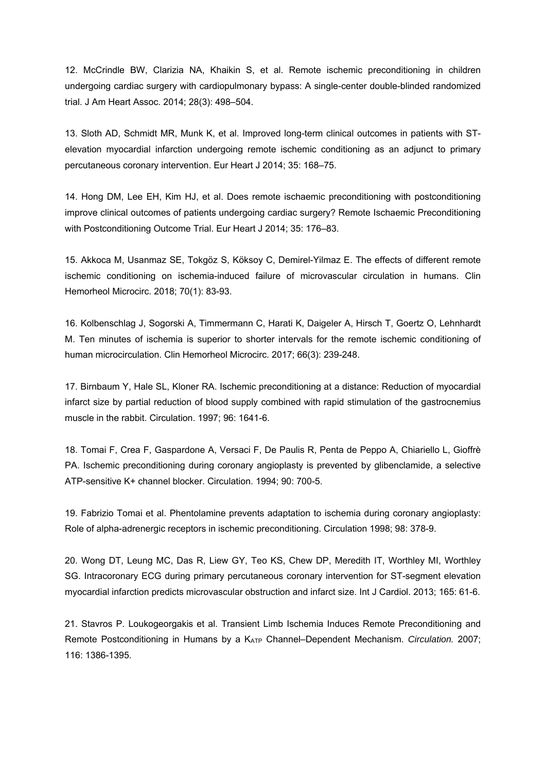12. McCrindle BW, Clarizia NA, Khaikin S, et al. Remote ischemic preconditioning in children undergoing cardiac surgery with cardiopulmonary bypass: A single-center double-blinded randomized trial. J Am Heart Assoc. 2014; 28(3): 498–504.

13. Sloth AD, Schmidt MR, Munk K, et al. Improved long-term clinical outcomes in patients with STelevation myocardial infarction undergoing remote ischemic conditioning as an adjunct to primary percutaneous coronary intervention. Eur Heart J 2014; 35: 168–75.

14. Hong DM, Lee EH, Kim HJ, et al. Does remote ischaemic preconditioning with postconditioning improve clinical outcomes of patients undergoing cardiac surgery? Remote Ischaemic Preconditioning with Postconditioning Outcome Trial. Eur Heart J 2014; 35: 176–83.

15. Akkoca M, Usanmaz SE, Tokgöz S, Köksoy C, Demirel-Yilmaz E. The effects of different remote ischemic conditioning on ischemia-induced failure of microvascular circulation in humans. Clin Hemorheol Microcirc. 2018; 70(1): 83-93.

16. Kolbenschlag J, Sogorski A, Timmermann C, Harati K, Daigeler A, Hirsch T, Goertz O, Lehnhardt M. Ten minutes of ischemia is superior to shorter intervals for the remote ischemic conditioning of human microcirculation. Clin Hemorheol Microcirc. 2017; 66(3): 239-248.

17. Birnbaum Y, Hale SL, Kloner RA. Ischemic preconditioning at a distance: Reduction of myocardial infarct size by partial reduction of blood supply combined with rapid stimulation of the gastrocnemius muscle in the rabbit. Circulation. 1997; 96: 1641-6.

18. Tomai F, Crea F, Gaspardone A, Versaci F, De Paulis R, Penta de Peppo A, Chiariello L, Gioffrè PA. Ischemic preconditioning during coronary angioplasty is prevented by glibenclamide, a selective ATP-sensitive K+ channel blocker. Circulation. 1994; 90: 700-5.

19. Fabrizio Tomai et al. Phentolamine prevents adaptation to ischemia during coronary angioplasty: Role of alpha-adrenergic receptors in ischemic preconditioning. Circulation 1998; 98: 378-9.

20. Wong DT, Leung MC, Das R, Liew GY, Teo KS, Chew DP, Meredith IT, Worthley MI, Worthley SG. Intracoronary ECG during primary percutaneous coronary intervention for ST-segment elevation myocardial infarction predicts microvascular obstruction and infarct size. Int J Cardiol. 2013; 165: 61-6.

21. Stavros P. Loukogeorgakis et al. Transient Limb Ischemia Induces Remote Preconditioning and Remote Postconditioning in Humans by a KATP Channel–Dependent Mechanism. *Circulation.* 2007; 116: 1386-1395.